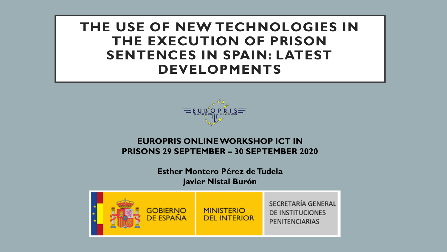**THE USE OF NEW TECHNOLOGIES IN THE EXECUTION OF PRISON SENTENCES IN SPAIN: LATEST DEVELOPMENTS**



#### **EUROPRIS ONLINE WORKSHOP ICT IN PRISONS 29 SEPTEMBER – 30 SEPTEMBER 2020**

**Esther Montero Pérez de Tudela Javier Nistal Burón**

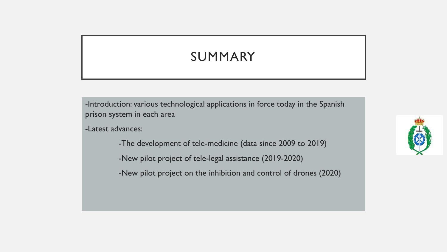### SUMMARY

-Introduction: various technological applications in force today in the Spanish prison system in each area

-Latest advances:

- -The development of tele-medicine (data since 2009 to 2019)
- -New pilot project of tele-legal assistance (2019-2020)
- -New pilot project on the inhibition and control of drones (2020)

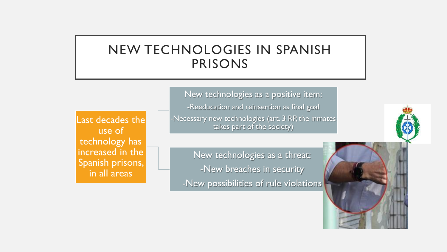### NEW TECHNOLOGIES IN SPANISH PRISONS

Last decades the use of technology has increased in the Spanish prisons, in all areas

New technologies as a positive item: -Reeducation and reinsertion as final goal -Necessary new technologies (art. 3 RP, the inmates takes part of the society)

New technologies as a threat: -New breaches in security -New possibilities of rule violations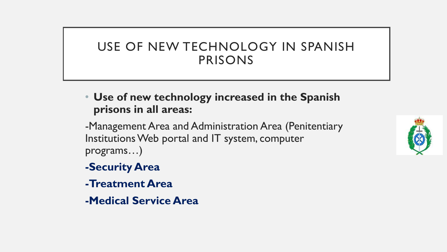### USE OF NEW TECHNOLOGY IN SPANISH PRISONS

• **Use of new technology increased in the Spanish prisons in all areas:**

-Management Area and Administration Area (Penitentiary Institutions Web portal and IT system, computer programs…)

- **-Security Area**
- **-Treatment Area**
- **-Medical Service Area**

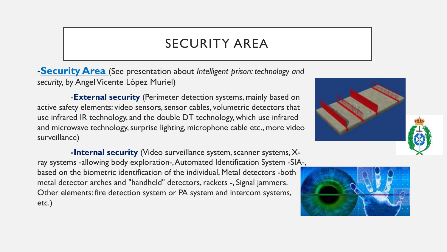### SECURITY AREA

-**Security Area** (See presentation about *Intelligent prison: technology and*  security, by Angel Vicente López Muriel)

-**External security** (Perimeter detection systems, mainly based on active safety elements: video sensors, sensor cables, volumetric detectors that use infrared IR technology, and the double DT technology, which use infrared and microwave technology, surprise lighting, microphone cable etc., more video surveillance)

**-Internal security** (Video surveillance system, scanner systems, Xray systems -allowing body exploration-, Automated Identification System -SIA-, based on the biometric identification of the individual, Metal detectors -both metal detector arches and "handheld" detectors, rackets -, Signal jammers. Other elements: fire detection system or PA system and intercom systems, etc.)



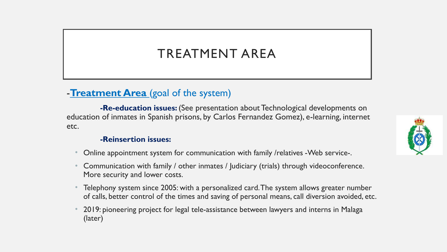## TREATMENT AREA

### -**Treatment Area** (goal of the system)

**-Re-education issues:** (See presentation about Technological developments on education of inmates in Spanish prisons, by Carlos Fernandez Gomez), e-learning, internet etc.

#### **-Reinsertion issues:**

- Online appointment system for communication with family /relatives -Web service-.
- Communication with family / other inmates / Judiciary (trials) through videoconference. More security and lower costs.
- Telephony system since 2005: with a personalized card. The system allows greater number of calls, better control of the times and saving of personal means, call diversion avoided, etc.
- 2019: pioneering project for legal tele-assistance between lawyers and interns in Malaga (later)

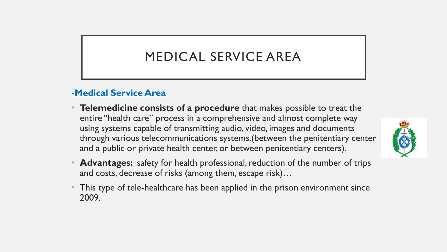## MEDICAL SERVICE AREA

### **-Medical Service Area**

- **Telemedicine consists of a procedure** that makes possible to treat the entire "health care" process in a comprehensive and almost complete way using systems capable of transmitting audio, video, images and documents through various telecommunications systems.(between the penitentiary center and a public or private health center, or between penitentiary centers).
- **Advantages:** safety for health professional, reduction of the number of trips and costs, decrease of risks (among them, escape risk)…
- This type of tele-healthcare has been applied in the prison environment since 2009.

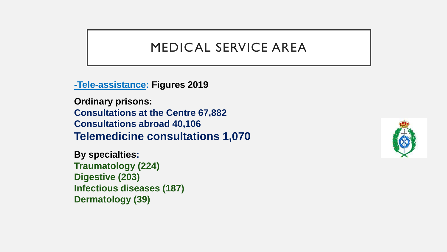### MEDICAL SERVICE AREA

**-Tele-assistance: Figures 2019**

**Ordinary prisons: Consultations at the Centre 67,882 Consultations abroad 40,106 Telemedicine consultations 1,070**

**By specialties: Traumatology (224) Digestive (203) Infectious diseases (187) Dermatology (39)**

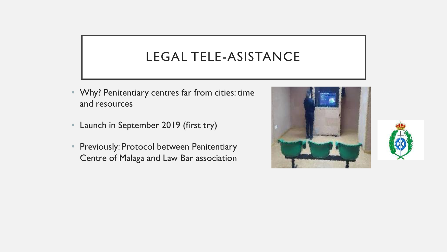## LEGAL TELE-ASISTANCE

- Why? Penitentiary centres far from cities: time and resources
- Launch in September 2019 (first try)
- Previously: Protocol between Penitentiary Centre of Malaga and Law Bar association



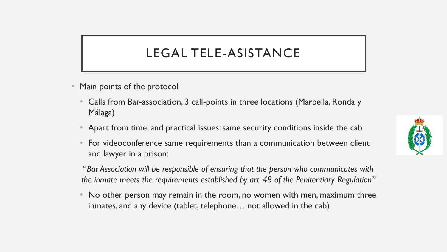### LEGAL TELE-ASISTANCE

- Main points of the protocol
	- Calls from Bar-association, 3 call-points in three locations (Marbella, Ronda y Málaga)
	- Apart from time, and practical issues: same security conditions inside the cab
	- For videoconference same requirements than a communication between client and lawyer in a prison:

"*Bar Association will be responsible of ensuring that the person who communicates with the inmate meets the requirements established by art. 48 of the Penitentiary Regulation"*

• No other person may remain in the room, no women with men, maximum three inmates, and any device (tablet, telephone… not allowed in the cab)

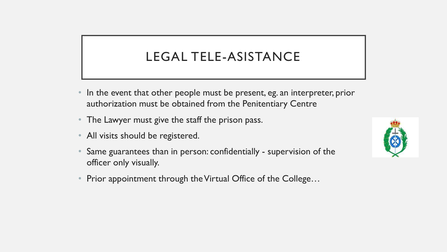## LEGAL TELE-ASISTANCE

- In the event that other people must be present, eg. an interpreter, prior authorization must be obtained from the Penitentiary Centre
- The Lawyer must give the staff the prison pass.
- All visits should be registered.
- Same guarantees than in person: confidentially supervision of the officer only visually.
- Prior appointment through the Virtual Office of the College...

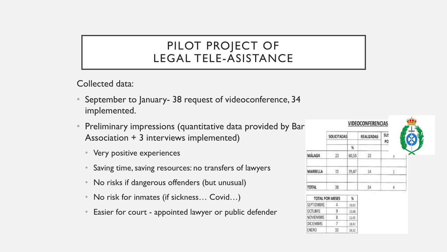### PILOT PROJECT OF LEGAL TELE-ASISTANCE

Collected data:

- September to January- 38 request of videoconference, 34 implemented.
- Preliminary impressions (quantitative data provided by Bar Association + 3 interviews implemented)
	- Very positive experiences
	- Saving time, saving resources: no transfers of lawyers
	- No risks if dangerous offenders (but unusual)
	- No risk for inmates (if sickness… Covid…)
	- Easier for court appointed lawyer or public defender

|                | SOLICITADAS     |       | <b>REALIZADAS</b> | SU.<br>PO    |  |
|----------------|-----------------|-------|-------------------|--------------|--|
|                |                 | N     |                   |              |  |
| MÁLAGA         | $23 -$          | 60,53 | 20                | 57           |  |
| MARBELLA       | 15              | 39,47 | 14                | $\mathbf{1}$ |  |
| TOTAL          | 38              |       | 34                | 4.           |  |
|                | TOTAL POR MESES | X     |                   |              |  |
| SEPTIEMBRE     | 4.              | 10,53 |                   |              |  |
| <b>OCTUBRE</b> | ŷ               | 23,68 |                   |              |  |
| NOVIEMBRE      | 8               | 21,05 |                   |              |  |
| DICIEMBRE      | $\mathcal{I}$   | 18.42 |                   |              |  |
| ENERO          | 10              | 26,32 |                   |              |  |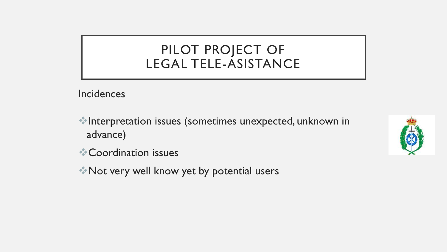## PILOT PROJECT OF LEGAL TELE-ASISTANCE

**Incidences** 

❖Interpretation issues (sometimes unexpected, unknown in advance)



❖Not very well know yet by potential users

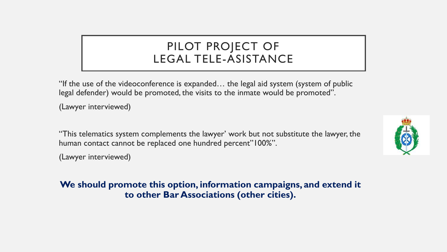### PILOT PROJECT OF LEGAL TELE-ASISTANCE

"If the use of the videoconference is expanded… the legal aid system (system of public legal defender) would be promoted, the visits to the inmate would be promoted".

(Lawyer interviewed)

"This telematics system complements the lawyer' work but not substitute the lawyer, the human contact cannot be replaced one hundred percent"100%".

(Lawyer interviewed)

#### **We should promote this option, information campaigns, and extend it to other Bar Associations (other cities).**

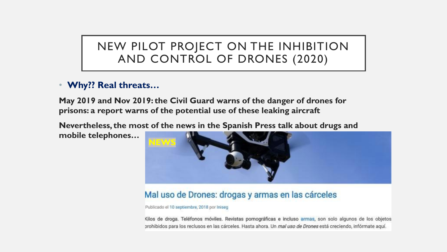### NEW PILOT PROJECT ON THE INHIBITION AND CONTROL OF DRONES (2020)

#### • **Why?? Real threats…**

**May 2019 and Nov 2019: the Civil Guard warns of the danger of drones for prisons: a report warns of the potential use of these leaking aircraft**

**Nevertheless, the most of the news in the Spanish Press talk about drugs and mobile telephones…**



#### Mal uso de Drones: drogas y armas en las cárceles

Publicado el 10 septiembre, 2018 por Iniseg

Kilos de droga. Teléfonos móviles. Revistas pornográficas e incluso armas, son solo algunos de los objetos prohibidos para los reclusos en las cárceles. Hasta ahora. Un mal uso de Drones está creciendo, infórmate aquí.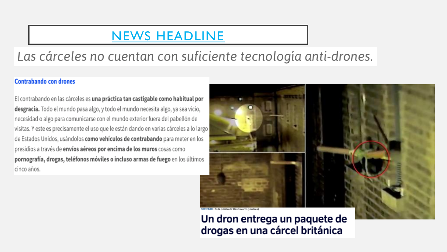### [NEWS HEADLINE](https://context.reverso.net/traduccion/ingles-espanol/news+headline)

## Las cárceles no cuentan con suficiente tecnología anti-drones.

#### **Contrabando con drones**

El contrabando en las cárceles es una práctica tan castigable como habitual por desgracia. Todo el mundo pasa algo, y todo el mundo necesita algo, ya sea vicio, necesidad o algo para comunicarse con el mundo exterior fuera del pabellón de visitas. Y este es precisamente el uso que le están dando en varias cárceles a lo largo de Estados Unidos, usándolos como vehículos de contrabando para meter en los presidios a través de envíos aéreos por encima de los muros cosas como pornografía, drogas, teléfonos móviles o incluso armas de fuego en los últimos cinco años.



Un dron entrega un paquete de drogas en una cárcel británica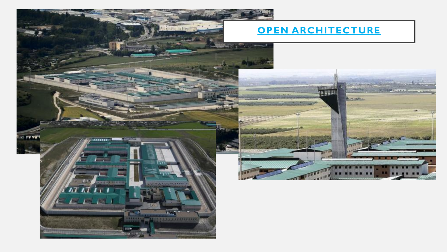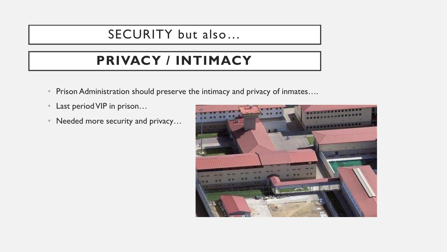### SECURITY but also…

# **PRIVACY / INTIMACY**

- Prison Administration should preserve the intimacy and privacy of inmates....
- Last period VIP in prison...
- Needed more security and privacy...

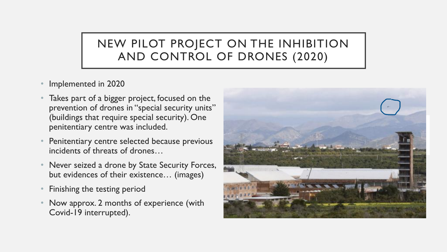### NEW PILOT PROJECT ON THE INHIBITION AND CONTROL OF DRONES (2020)

- Implemented in 2020
- Takes part of a bigger project, focused on the prevention of drones in "special security units" (buildings that require special security). One penitentiary centre was included.
- Penitentiary centre selected because previous incidents of threats of drones…
- Never seized a drone by State Security Forces, but evidences of their existence… (images)
- Finishing the testing period
- Now approx. 2 months of experience (with Covid-19 interrupted).

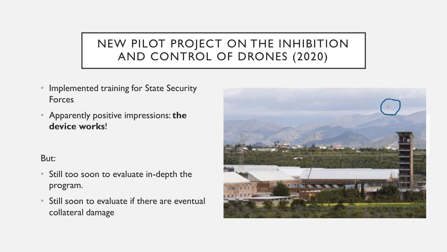### NEW PILOT PROJECT ON THE INHIBITION AND CONTROL OF DRONES (2020)

- Implemented training for State Security Forces
- Apparently positive impressions: **the device works**!

#### But:

- Still too soon to evaluate in-depth the program.
- Still soon to evaluate if there are eventual collateral damage

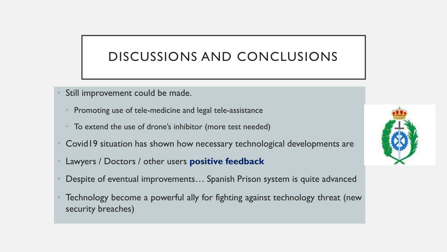### DISCUSSIONS AND CONCLUSIONS

- Still improvement could be made.
	- Promoting use of tele-medicine and legal tele-assistance
	- To extend the use of drone's inhibitor (more test needed)
- Covid19 situation has shown how necessary technological developments are
- Lawyers / Doctors / other users **positive feedback**
- Despite of eventual improvements… Spanish Prison system is quite advanced
- Technology become a powerful ally for fighting against technology threat (new security breaches)